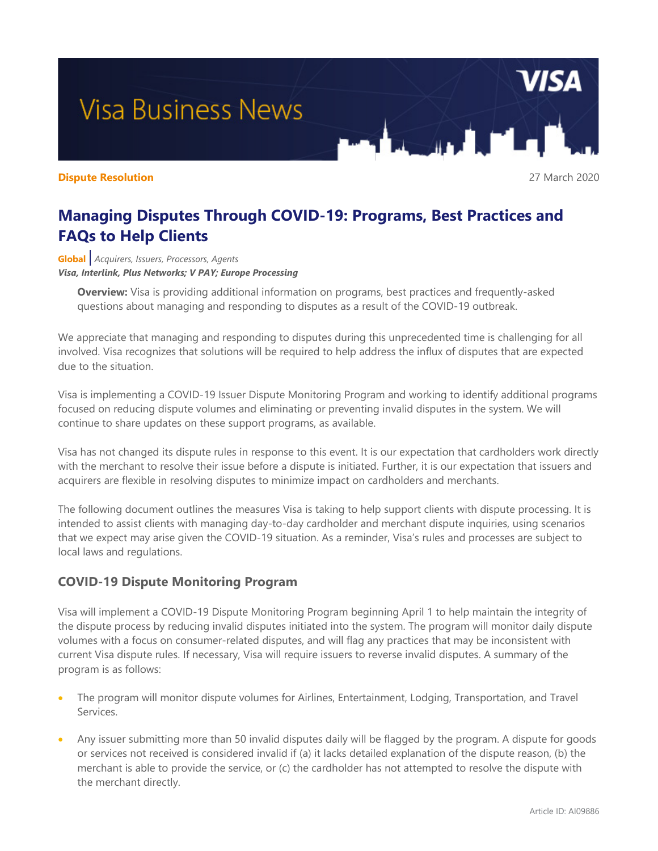# **Visa Business News**

#### **Dispute Resolution** 27 March 2020

# **Managing Disputes Through COVID-19: Programs, Best Practices and FAQs to Help Clients**

**Global** *| Acquirers, Issuers, Processors, Agents Visa, Interlink, Plus Networks; V PAY; Europe Processing*

**Overview:** Visa is providing additional information on programs, best practices and frequently-asked questions about managing and responding to disputes as a result of the COVID-19 outbreak.

We appreciate that managing and responding to disputes during this unprecedented time is challenging for all involved. Visa recognizes that solutions will be required to help address the influx of disputes that are expected due to the situation.

Visa is implementing a COVID-19 Issuer Dispute Monitoring Program and working to identify additional programs focused on reducing dispute volumes and eliminating or preventing invalid disputes in the system. We will continue to share updates on these support programs, as available.

Visa has not changed its dispute rules in response to this event. It is our expectation that cardholders work directly with the merchant to resolve their issue before a dispute is initiated. Further, it is our expectation that issuers and acquirers are flexible in resolving disputes to minimize impact on cardholders and merchants.

The following document outlines the measures Visa is taking to help support clients with dispute processing. It is intended to assist clients with managing day-to-day cardholder and merchant dispute inquiries, using scenarios that we expect may arise given the COVID-19 situation. As a reminder, Visa's rules and processes are subject to local laws and regulations.

## **COVID-19 Dispute Monitoring Program**

Visa will implement a COVID-19 Dispute Monitoring Program beginning April 1 to help maintain the integrity of the dispute process by reducing invalid disputes initiated into the system. The program will monitor daily dispute volumes with a focus on consumer-related disputes, and will flag any practices that may be inconsistent with current Visa dispute rules. If necessary, Visa will require issuers to reverse invalid disputes. A summary of the program is as follows:

- The program will monitor dispute volumes for Airlines, Entertainment, Lodging, Transportation, and Travel Services.
- Any issuer submitting more than 50 invalid disputes daily will be flagged by the program. A dispute for goods or services not received is considered invalid if (a) it lacks detailed explanation of the dispute reason, (b) the merchant is able to provide the service, or (c) the cardholder has not attempted to resolve the dispute with the merchant directly.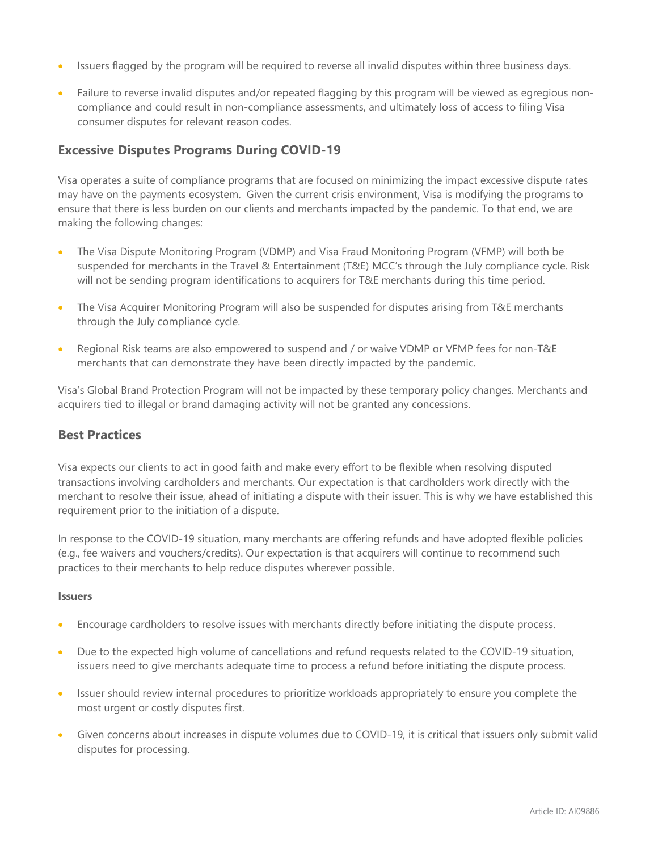- Issuers flagged by the program will be required to reverse all invalid disputes within three business days.
- Failure to reverse invalid disputes and/or repeated flagging by this program will be viewed as egregious noncompliance and could result in non-compliance assessments, and ultimately loss of access to filing Visa consumer disputes for relevant reason codes.

### **Excessive Disputes Programs During COVID-19**

Visa operates a suite of compliance programs that are focused on minimizing the impact excessive dispute rates may have on the payments ecosystem. Given the current crisis environment, Visa is modifying the programs to ensure that there is less burden on our clients and merchants impacted by the pandemic. To that end, we are making the following changes:

- The Visa Dispute Monitoring Program (VDMP) and Visa Fraud Monitoring Program (VFMP) will both be suspended for merchants in the Travel & Entertainment (T&E) MCC's through the July compliance cycle. Risk will not be sending program identifications to acquirers for T&E merchants during this time period.
- The Visa Acquirer Monitoring Program will also be suspended for disputes arising from T&E merchants through the July compliance cycle.
- Regional Risk teams are also empowered to suspend and / or waive VDMP or VFMP fees for non-T&E merchants that can demonstrate they have been directly impacted by the pandemic.

Visa's Global Brand Protection Program will not be impacted by these temporary policy changes. Merchants and acquirers tied to illegal or brand damaging activity will not be granted any concessions.

#### **Best Practices**

Visa expects our clients to act in good faith and make every effort to be flexible when resolving disputed transactions involving cardholders and merchants. Our expectation is that cardholders work directly with the merchant to resolve their issue, ahead of initiating a dispute with their issuer. This is why we have established this requirement prior to the initiation of a dispute.

In response to the COVID-19 situation, many merchants are offering refunds and have adopted flexible policies (e.g., fee waivers and vouchers/credits). Our expectation is that acquirers will continue to recommend such practices to their merchants to help reduce disputes wherever possible.

#### **Issuers**

- Encourage cardholders to resolve issues with merchants directly before initiating the dispute process.
- Due to the expected high volume of cancellations and refund requests related to the COVID-19 situation, issuers need to give merchants adequate time to process a refund before initiating the dispute process.
- Issuer should review internal procedures to prioritize workloads appropriately to ensure you complete the most urgent or costly disputes first.
- Given concerns about increases in dispute volumes due to COVID-19, it is critical that issuers only submit valid disputes for processing.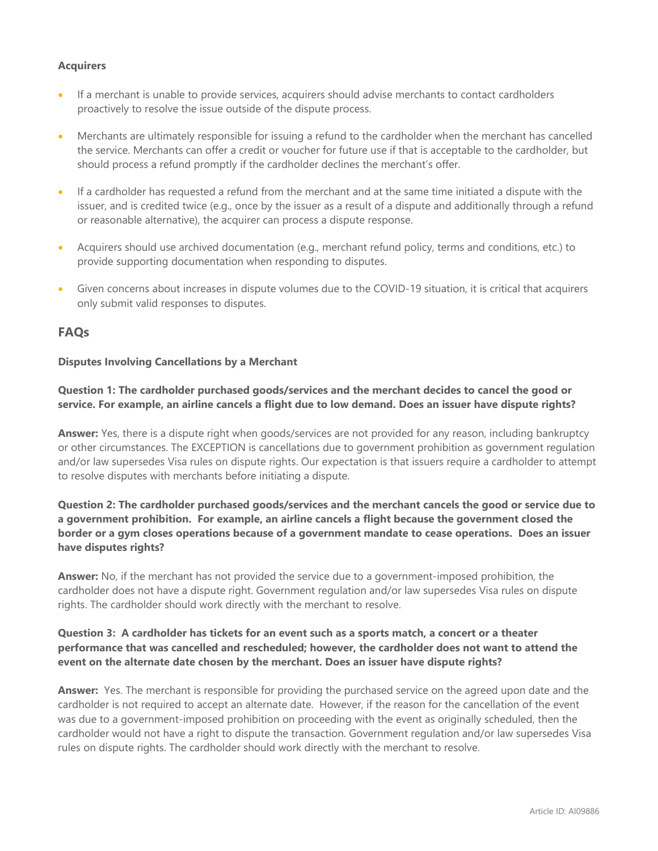#### **Acquirers**

- If a merchant is unable to provide services, acquirers should advise merchants to contact cardholders proactively to resolve the issue outside of the dispute process.
- Merchants are ultimately responsible for issuing a refund to the cardholder when the merchant has cancelled the service. Merchants can offer a credit or voucher for future use if that is acceptable to the cardholder, but should process a refund promptly if the cardholder declines the merchant's offer.
- If a cardholder has requested a refund from the merchant and at the same time initiated a dispute with the issuer, and is credited twice (e.g., once by the issuer as a result of a dispute and additionally through a refund or reasonable alternative), the acquirer can process a dispute response.
- Acquirers should use archived documentation (e.g., merchant refund policy, terms and conditions, etc.) to provide supporting documentation when responding to disputes.
- Given concerns about increases in dispute volumes due to the COVID-19 situation, it is critical that acquirers only submit valid responses to disputes.

#### **FAQs**

#### **Disputes Involving Cancellations by a Merchant**

#### **Question 1: The cardholder purchased goods/services and the merchant decides to cancel the good or service. For example, an airline cancels a flight due to low demand. Does an issuer have dispute rights?**

**Answer:** Yes, there is a dispute right when goods/services are not provided for any reason, including bankruptcy or other circumstances. The EXCEPTION is cancellations due to government prohibition as government regulation and/or law supersedes Visa rules on dispute rights. Our expectation is that issuers require a cardholder to attempt to resolve disputes with merchants before initiating a dispute.

#### **Question 2: The cardholder purchased goods/services and the merchant cancels the good or service due to a government prohibition. For example, an airline cancels a flight because the government closed the border or a gym closes operations because of a government mandate to cease operations. Does an issuer have disputes rights?**

**Answer:** No, if the merchant has not provided the service due to a government-imposed prohibition, the cardholder does not have a dispute right. Government regulation and/or law supersedes Visa rules on dispute rights. The cardholder should work directly with the merchant to resolve.

#### **Question 3: A cardholder has tickets for an event such as a sports match, a concert or a theater performance that was cancelled and rescheduled; however, the cardholder does not want to attend the event on the alternate date chosen by the merchant. Does an issuer have dispute rights?**

**Answer:** Yes. The merchant is responsible for providing the purchased service on the agreed upon date and the cardholder is not required to accept an alternate date. However, if the reason for the cancellation of the event was due to a government-imposed prohibition on proceeding with the event as originally scheduled, then the cardholder would not have a right to dispute the transaction. Government regulation and/or law supersedes Visa rules on dispute rights. The cardholder should work directly with the merchant to resolve.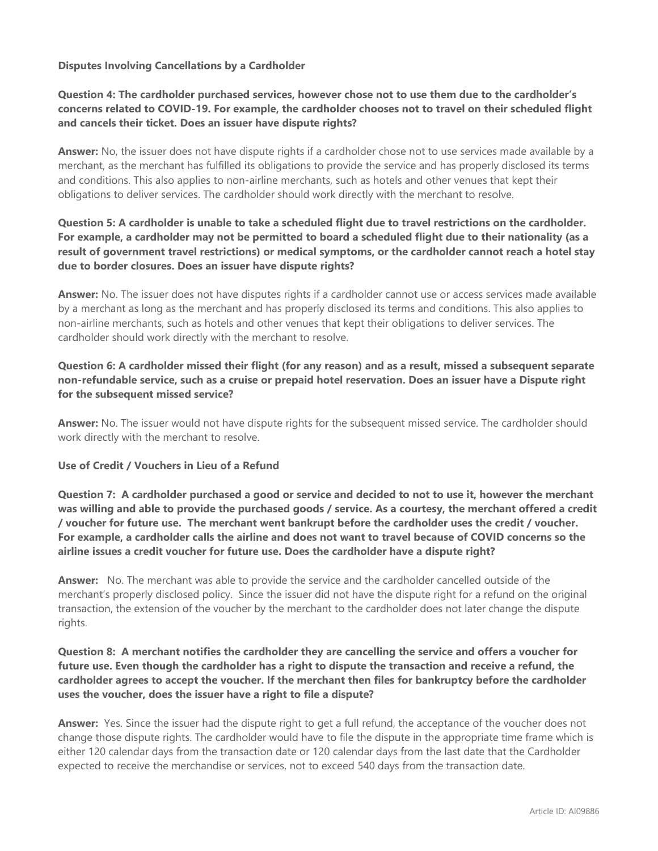#### **Disputes Involving Cancellations by a Cardholder**

#### **Question 4: The cardholder purchased services, however chose not to use them due to the cardholder's concerns related to COVID-19. For example, the cardholder chooses not to travel on their scheduled flight and cancels their ticket. Does an issuer have dispute rights?**

**Answer:** No, the issuer does not have dispute rights if a cardholder chose not to use services made available by a merchant, as the merchant has fulfilled its obligations to provide the service and has properly disclosed its terms and conditions. This also applies to non-airline merchants, such as hotels and other venues that kept their obligations to deliver services. The cardholder should work directly with the merchant to resolve.

#### **Question 5: A cardholder is unable to take a scheduled flight due to travel restrictions on the cardholder. For example, a cardholder may not be permitted to board a scheduled flight due to their nationality (as a result of government travel restrictions) or medical symptoms, or the cardholder cannot reach a hotel stay due to border closures. Does an issuer have dispute rights?**

**Answer:** No. The issuer does not have disputes rights if a cardholder cannot use or access services made available by a merchant as long as the merchant and has properly disclosed its terms and conditions. This also applies to non-airline merchants, such as hotels and other venues that kept their obligations to deliver services. The cardholder should work directly with the merchant to resolve.

#### **Question 6: A cardholder missed their flight (for any reason) and as a result, missed a subsequent separate non-refundable service, such as a cruise or prepaid hotel reservation. Does an issuer have a Dispute right for the subsequent missed service?**

**Answer:** No. The issuer would not have dispute rights for the subsequent missed service. The cardholder should work directly with the merchant to resolve.

#### **Use of Credit / Vouchers in Lieu of a Refund**

**Question 7: A cardholder purchased a good or service and decided to not to use it, however the merchant was willing and able to provide the purchased goods / service. As a courtesy, the merchant offered a credit / voucher for future use. The merchant went bankrupt before the cardholder uses the credit / voucher. For example, a cardholder calls the airline and does not want to travel because of COVID concerns so the airline issues a credit voucher for future use. Does the cardholder have a dispute right?** 

**Answer:** No. The merchant was able to provide the service and the cardholder cancelled outside of the merchant's properly disclosed policy. Since the issuer did not have the dispute right for a refund on the original transaction, the extension of the voucher by the merchant to the cardholder does not later change the dispute rights.

#### **Question 8: A merchant notifies the cardholder they are cancelling the service and offers a voucher for future use. Even though the cardholder has a right to dispute the transaction and receive a refund, the cardholder agrees to accept the voucher. If the merchant then files for bankruptcy before the cardholder uses the voucher, does the issuer have a right to file a dispute?**

**Answer:** Yes. Since the issuer had the dispute right to get a full refund, the acceptance of the voucher does not change those dispute rights. The cardholder would have to file the dispute in the appropriate time frame which is either 120 calendar days from the transaction date or 120 calendar days from the last date that the Cardholder expected to receive the merchandise or services, not to exceed 540 days from the transaction date.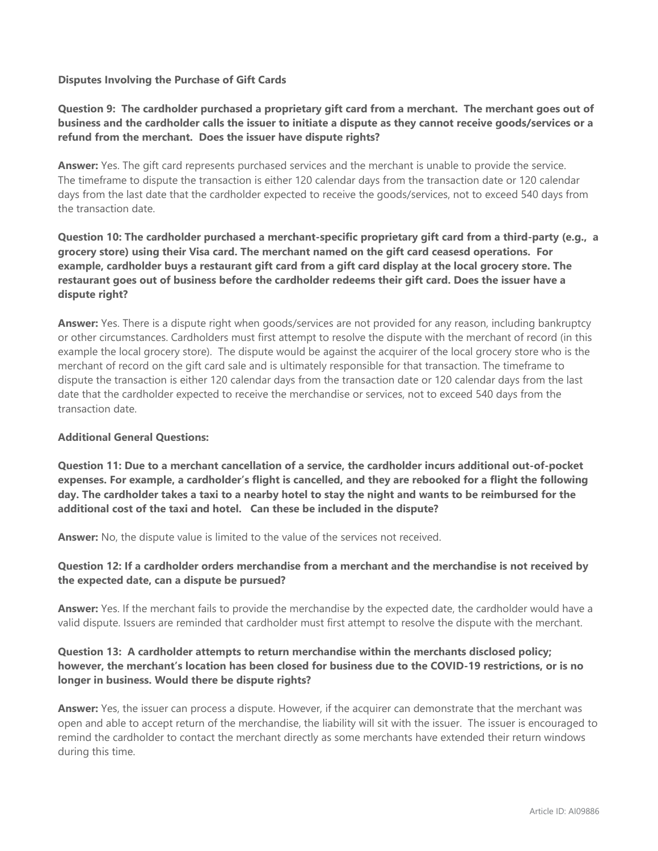#### **Disputes Involving the Purchase of Gift Cards**

#### **Question 9: The cardholder purchased a proprietary gift card from a merchant. The merchant goes out of business and the cardholder calls the issuer to initiate a dispute as they cannot receive goods/services or a refund from the merchant. Does the issuer have dispute rights?**

**Answer:** Yes. The gift card represents purchased services and the merchant is unable to provide the service. The timeframe to dispute the transaction is either 120 calendar days from the transaction date or 120 calendar days from the last date that the cardholder expected to receive the goods/services, not to exceed 540 days from the transaction date.

#### **Question 10: The cardholder purchased a merchant-specific proprietary gift card from a third-party (e.g., a grocery store) using their Visa card. The merchant named on the gift card ceasesd operations. For example, cardholder buys a restaurant gift card from a gift card display at the local grocery store. The restaurant goes out of business before the cardholder redeems their gift card. Does the issuer have a dispute right?**

**Answer:** Yes. There is a dispute right when goods/services are not provided for any reason, including bankruptcy or other circumstances. Cardholders must first attempt to resolve the dispute with the merchant of record (in this example the local grocery store). The dispute would be against the acquirer of the local grocery store who is the merchant of record on the gift card sale and is ultimately responsible for that transaction. The timeframe to dispute the transaction is either 120 calendar days from the transaction date or 120 calendar days from the last date that the cardholder expected to receive the merchandise or services, not to exceed 540 days from the transaction date.

#### **Additional General Questions:**

**Question 11: Due to a merchant cancellation of a service, the cardholder incurs additional out-of-pocket expenses. For example, a cardholder's flight is cancelled, and they are rebooked for a flight the following day. The cardholder takes a taxi to a nearby hotel to stay the night and wants to be reimbursed for the additional cost of the taxi and hotel. Can these be included in the dispute?**

**Answer:** No, the dispute value is limited to the value of the services not received.

#### **Question 12: If a cardholder orders merchandise from a merchant and the merchandise is not received by the expected date, can a dispute be pursued?**

**Answer:** Yes. If the merchant fails to provide the merchandise by the expected date, the cardholder would have a valid dispute. Issuers are reminded that cardholder must first attempt to resolve the dispute with the merchant.

#### **Question 13: A cardholder attempts to return merchandise within the merchants disclosed policy; however, the merchant's location has been closed for business due to the COVID-19 restrictions, or is no longer in business. Would there be dispute rights?**

**Answer:** Yes, the issuer can process a dispute. However, if the acquirer can demonstrate that the merchant was open and able to accept return of the merchandise, the liability will sit with the issuer. The issuer is encouraged to remind the cardholder to contact the merchant directly as some merchants have extended their return windows during this time.